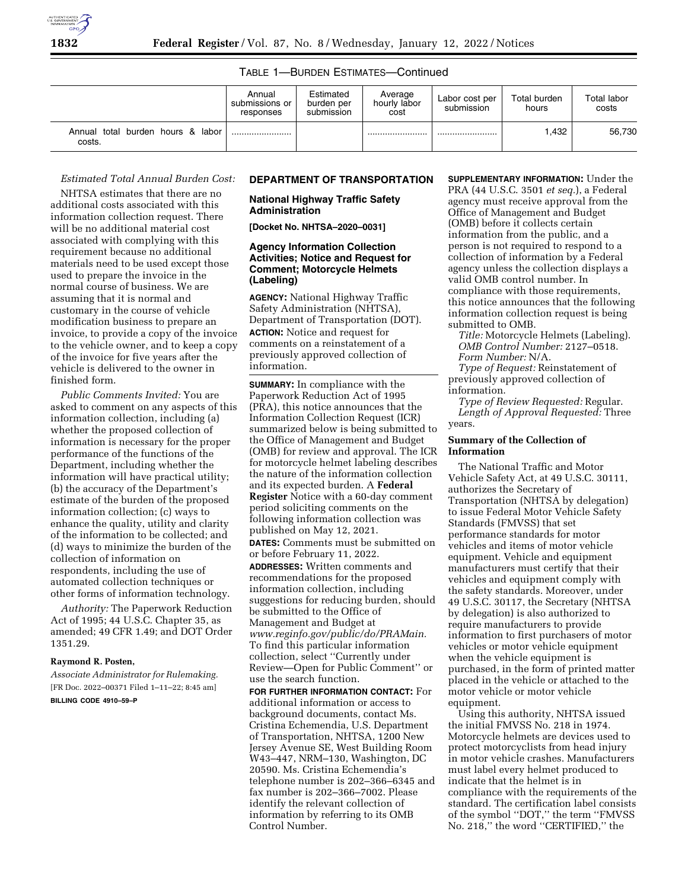

#### TABLE 1—BURDEN ESTIMATES—Continued

|                                             | Annual<br>submissions or<br>responses | Estimated<br>burden per<br>submission | Average<br>hourly labor<br>cost | Labor cost per<br>submission | Total burden<br>hours | Total labor<br>costs |
|---------------------------------------------|---------------------------------------|---------------------------------------|---------------------------------|------------------------------|-----------------------|----------------------|
| Annual total burden hours & labor<br>costs. |                                       |                                       |                                 |                              | <b>.432</b>           | 56.730               |

# *Estimated Total Annual Burden Cost:*

NHTSA estimates that there are no additional costs associated with this information collection request. There will be no additional material cost associated with complying with this requirement because no additional materials need to be used except those used to prepare the invoice in the normal course of business. We are assuming that it is normal and customary in the course of vehicle modification business to prepare an invoice, to provide a copy of the invoice to the vehicle owner, and to keep a copy of the invoice for five years after the vehicle is delivered to the owner in finished form.

*Public Comments Invited:* You are asked to comment on any aspects of this information collection, including (a) whether the proposed collection of information is necessary for the proper performance of the functions of the Department, including whether the information will have practical utility; (b) the accuracy of the Department's estimate of the burden of the proposed information collection; (c) ways to enhance the quality, utility and clarity of the information to be collected; and (d) ways to minimize the burden of the collection of information on respondents, including the use of automated collection techniques or other forms of information technology.

*Authority:* The Paperwork Reduction Act of 1995; 44 U.S.C. Chapter 35, as amended; 49 CFR 1.49; and DOT Order 1351.29.

# **Raymond R. Posten,**

*Associate Administrator for Rulemaking.*  [FR Doc. 2022–00371 Filed 1–11–22; 8:45 am] **BILLING CODE 4910–59–P** 

### **DEPARTMENT OF TRANSPORTATION**

**National Highway Traffic Safety Administration** 

**[Docket No. NHTSA–2020–0031]** 

# **Agency Information Collection Activities; Notice and Request for Comment; Motorcycle Helmets (Labeling)**

**AGENCY:** National Highway Traffic Safety Administration (NHTSA), Department of Transportation (DOT). **ACTION:** Notice and request for comments on a reinstatement of a previously approved collection of information.

**SUMMARY:** In compliance with the Paperwork Reduction Act of 1995 (PRA), this notice announces that the Information Collection Request (ICR) summarized below is being submitted to the Office of Management and Budget (OMB) for review and approval. The ICR for motorcycle helmet labeling describes the nature of the information collection and its expected burden. A **Federal Register** Notice with a 60-day comment period soliciting comments on the following information collection was published on May 12, 2021.

**DATES:** Comments must be submitted on or before February 11, 2022.

**ADDRESSES:** Written comments and recommendations for the proposed information collection, including suggestions for reducing burden, should be submitted to the Office of Management and Budget at *[www.reginfo.gov/public/do/PRAMain.](http://www.reginfo.gov/public/do/PRAMain)*  To find this particular information collection, select ''Currently under Review—Open for Public Comment'' or use the search function.

**FOR FURTHER INFORMATION CONTACT:** For additional information or access to background documents, contact Ms. Cristina Echemendia, U.S. Department of Transportation, NHTSA, 1200 New Jersey Avenue SE, West Building Room W43–447, NRM–130, Washington, DC 20590. Ms. Cristina Echemendia's telephone number is 202–366–6345 and fax number is 202–366–7002. Please identify the relevant collection of information by referring to its OMB Control Number.

**SUPPLEMENTARY INFORMATION:** Under the PRA (44 U.S.C. 3501 *et seq.*), a Federal agency must receive approval from the Office of Management and Budget (OMB) before it collects certain information from the public, and a person is not required to respond to a collection of information by a Federal agency unless the collection displays a valid OMB control number. In compliance with those requirements, this notice announces that the following information collection request is being submitted to OMB.

*Title:* Motorcycle Helmets (Labeling). *OMB Control Number:* 2127–0518. *Form Number:* N/A.

*Type of Request:* Reinstatement of previously approved collection of information.

*Type of Review Requested:* Regular. *Length of Approval Requested:* Three years.

## **Summary of the Collection of Information**

The National Traffic and Motor Vehicle Safety Act, at 49 U.S.C. 30111, authorizes the Secretary of Transportation (NHTSA by delegation) to issue Federal Motor Vehicle Safety Standards (FMVSS) that set performance standards for motor vehicles and items of motor vehicle equipment. Vehicle and equipment manufacturers must certify that their vehicles and equipment comply with the safety standards. Moreover, under 49 U.S.C. 30117, the Secretary (NHTSA by delegation) is also authorized to require manufacturers to provide information to first purchasers of motor vehicles or motor vehicle equipment when the vehicle equipment is purchased, in the form of printed matter placed in the vehicle or attached to the motor vehicle or motor vehicle equipment.

Using this authority, NHTSA issued the initial FMVSS No. 218 in 1974. Motorcycle helmets are devices used to protect motorcyclists from head injury in motor vehicle crashes. Manufacturers must label every helmet produced to indicate that the helmet is in compliance with the requirements of the standard. The certification label consists of the symbol ''DOT,'' the term ''FMVSS No. 218,'' the word ''CERTIFIED,'' the